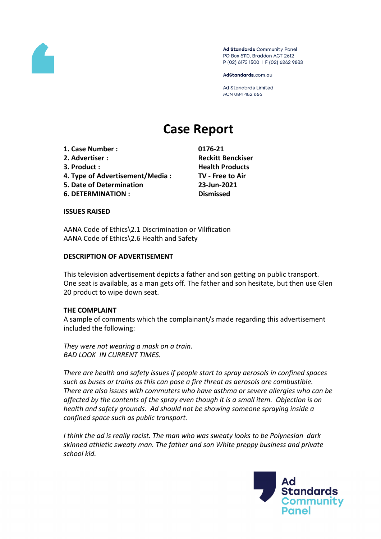

Ad Standards Community Panel PO Box 5110, Braddon ACT 2612 P (02) 6173 1500 | F (02) 6262 9833

AdStandards.com.au

Ad Standards Limited ACN 084 452 666

# **Case Report**

- **1. Case Number : 0176-21**
- 
- 
- **4. Type of Advertisement/Media : TV - Free to Air**
- **5. Date of Determination 23-Jun-2021**
- **6. DETERMINATION : Dismissed**

**2. Advertiser : Reckitt Benckiser 3. Product : Health Products**

#### **ISSUES RAISED**

AANA Code of Ethics\2.1 Discrimination or Vilification AANA Code of Ethics\2.6 Health and Safety

#### **DESCRIPTION OF ADVERTISEMENT**

This television advertisement depicts a father and son getting on public transport. One seat is available, as a man gets off. The father and son hesitate, but then use Glen 20 product to wipe down seat.

### **THE COMPLAINT**

A sample of comments which the complainant/s made regarding this advertisement included the following:

*They were not wearing a mask on a train. BAD LOOK IN CURRENT TIMES.*

*There are health and safety issues if people start to spray aerosols in confined spaces such as buses or trains as this can pose a fire threat as aerosols are combustible. There are also issues with commuters who have asthma or severe allergies who can be affected by the contents of the spray even though it is a small item. Objection is on health and safety grounds. Ad should not be showing someone spraying inside a confined space such as public transport.*

*I think the ad is really racist. The man who was sweaty looks to be Polynesian dark skinned athletic sweaty man. The father and son White preppy business and private school kid.*

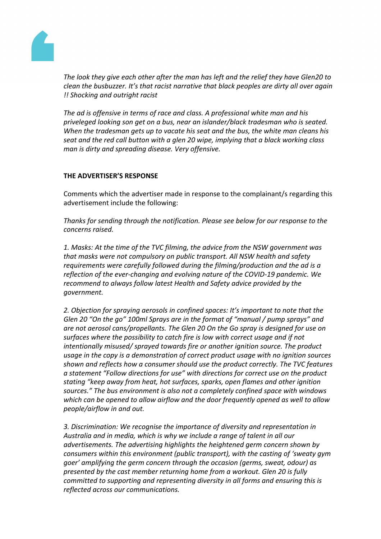

*The look they give each other after the man has left and the relief they have Glen20 to clean the busbuzzer. It's that racist narrative that black peoples are dirty all over again !! Shocking and outright racist*

*The ad is offensive in terms of race and class. A professional white man and his priveleged looking son get on a bus, near an islander/black tradesman who is seated. When the tradesman gets up to vacate his seat and the bus, the white man cleans his seat and the red call button with a glen 20 wipe, implying that a black working class man is dirty and spreading disease. Very offensive.*

# **THE ADVERTISER'S RESPONSE**

Comments which the advertiser made in response to the complainant/s regarding this advertisement include the following:

*Thanks for sending through the notification. Please see below for our response to the concerns raised.*

*1. Masks: At the time of the TVC filming, the advice from the NSW government was that masks were not compulsory on public transport. All NSW health and safety requirements were carefully followed during the filming/production and the ad is a reflection of the ever-changing and evolving nature of the COVID-19 pandemic. We recommend to always follow latest Health and Safety advice provided by the government.*

*2. Objection for spraying aerosols in confined spaces: It's important to note that the Glen 20 "On the go" 100ml Sprays are in the format of "manual / pump sprays" and are not aerosol cans/propellants. The Glen 20 On the Go spray is designed for use on surfaces where the possibility to catch fire is low with correct usage and if not intentionally misused/ sprayed towards fire or another ignition source. The product usage in the copy is a demonstration of correct product usage with no ignition sources shown and reflects how a consumer should use the product correctly. The TVC features a statement "Follow directions for use" with directions for correct use on the product stating "keep away from heat, hot surfaces, sparks, open flames and other ignition sources." The bus environment is also not a completely confined space with windows which can be opened to allow airflow and the door frequently opened as well to allow people/airflow in and out.* 

*3. Discrimination: We recognise the importance of diversity and representation in Australia and in media, which is why we include a range of talent in all our advertisements. The advertising highlights the heightened germ concern shown by consumers within this environment (public transport), with the casting of 'sweaty gym goer' amplifying the germ concern through the occasion (germs, sweat, odour) as presented by the cast member returning home from a workout. Glen 20 is fully committed to supporting and representing diversity in all forms and ensuring this is reflected across our communications.*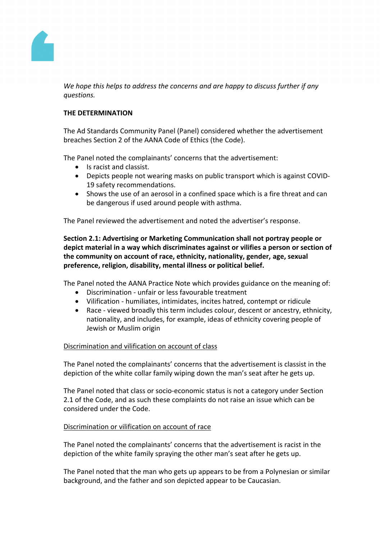

*We hope this helps to address the concerns and are happy to discuss further if any questions.*

# **THE DETERMINATION**

The Ad Standards Community Panel (Panel) considered whether the advertisement breaches Section 2 of the AANA Code of Ethics (the Code).

The Panel noted the complainants' concerns that the advertisement:

- Is racist and classist.
- Depicts people not wearing masks on public transport which is against COVID-19 safety recommendations.
- Shows the use of an aerosol in a confined space which is a fire threat and can be dangerous if used around people with asthma.

The Panel reviewed the advertisement and noted the advertiser's response.

**Section 2.1: Advertising or Marketing Communication shall not portray people or depict material in a way which discriminates against or vilifies a person or section of the community on account of race, ethnicity, nationality, gender, age, sexual preference, religion, disability, mental illness or political belief.**

The Panel noted the AANA Practice Note which provides guidance on the meaning of:

- Discrimination unfair or less favourable treatment
- Vilification humiliates, intimidates, incites hatred, contempt or ridicule
- Race viewed broadly this term includes colour, descent or ancestry, ethnicity, nationality, and includes, for example, ideas of ethnicity covering people of Jewish or Muslim origin

### Discrimination and vilification on account of class

The Panel noted the complainants' concerns that the advertisement is classist in the depiction of the white collar family wiping down the man's seat after he gets up.

The Panel noted that class or socio-economic status is not a category under Section 2.1 of the Code, and as such these complaints do not raise an issue which can be considered under the Code.

### Discrimination or vilification on account of race

The Panel noted the complainants' concerns that the advertisement is racist in the depiction of the white family spraying the other man's seat after he gets up.

The Panel noted that the man who gets up appears to be from a Polynesian or similar background, and the father and son depicted appear to be Caucasian.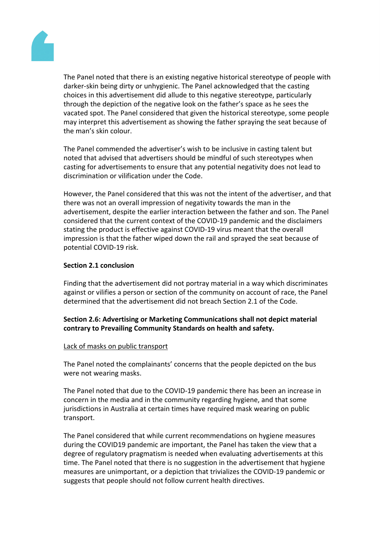

The Panel noted that there is an existing negative historical stereotype of people with darker-skin being dirty or unhygienic. The Panel acknowledged that the casting choices in this advertisement did allude to this negative stereotype, particularly through the depiction of the negative look on the father's space as he sees the vacated spot. The Panel considered that given the historical stereotype, some people may interpret this advertisement as showing the father spraying the seat because of the man's skin colour.

The Panel commended the advertiser's wish to be inclusive in casting talent but noted that advised that advertisers should be mindful of such stereotypes when casting for advertisements to ensure that any potential negativity does not lead to discrimination or vilification under the Code.

However, the Panel considered that this was not the intent of the advertiser, and that there was not an overall impression of negativity towards the man in the advertisement, despite the earlier interaction between the father and son. The Panel considered that the current context of the COVID-19 pandemic and the disclaimers stating the product is effective against COVID-19 virus meant that the overall impression is that the father wiped down the rail and sprayed the seat because of potential COVID-19 risk.

### **Section 2.1 conclusion**

Finding that the advertisement did not portray material in a way which discriminates against or vilifies a person or section of the community on account of race, the Panel determined that the advertisement did not breach Section 2.1 of the Code.

# **Section 2.6: Advertising or Marketing Communications shall not depict material contrary to Prevailing Community Standards on health and safety.**

### Lack of masks on public transport

The Panel noted the complainants' concerns that the people depicted on the bus were not wearing masks.

The Panel noted that due to the COVID-19 pandemic there has been an increase in concern in the media and in the community regarding hygiene, and that some jurisdictions in Australia at certain times have required mask wearing on public transport.

The Panel considered that while current recommendations on hygiene measures during the COVID19 pandemic are important, the Panel has taken the view that a degree of regulatory pragmatism is needed when evaluating advertisements at this time. The Panel noted that there is no suggestion in the advertisement that hygiene measures are unimportant, or a depiction that trivializes the COVID-19 pandemic or suggests that people should not follow current health directives.